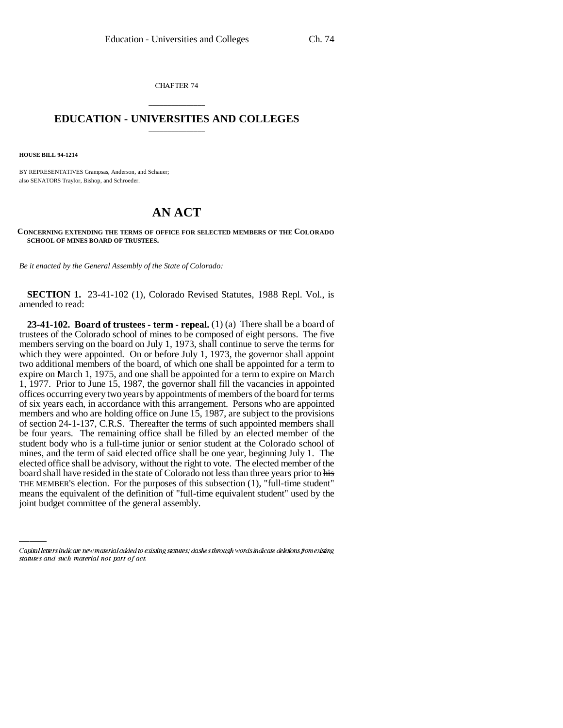CHAPTER 74

## \_\_\_\_\_\_\_\_\_\_\_\_\_\_\_ **EDUCATION - UNIVERSITIES AND COLLEGES** \_\_\_\_\_\_\_\_\_\_\_\_\_\_\_

**HOUSE BILL 94-1214**

BY REPRESENTATIVES Grampsas, Anderson, and Schauer; also SENATORS Traylor, Bishop, and Schroeder.

## **AN ACT**

**CONCERNING EXTENDING THE TERMS OF OFFICE FOR SELECTED MEMBERS OF THE COLORADO SCHOOL OF MINES BOARD OF TRUSTEES.**

*Be it enacted by the General Assembly of the State of Colorado:*

**SECTION 1.** 23-41-102 (1), Colorado Revised Statutes, 1988 Repl. Vol., is amended to read:

board shall have resided in the state of Colorado not less than three years prior to his **23-41-102. Board of trustees - term - repeal.** (1) (a) There shall be a board of trustees of the Colorado school of mines to be composed of eight persons. The five members serving on the board on July 1, 1973, shall continue to serve the terms for which they were appointed. On or before July 1, 1973, the governor shall appoint two additional members of the board, of which one shall be appointed for a term to expire on March 1, 1975, and one shall be appointed for a term to expire on March 1, 1977. Prior to June 15, 1987, the governor shall fill the vacancies in appointed offices occurring every two years by appointments of members of the board for terms of six years each, in accordance with this arrangement. Persons who are appointed members and who are holding office on June 15, 1987, are subject to the provisions of section 24-1-137, C.R.S. Thereafter the terms of such appointed members shall be four years. The remaining office shall be filled by an elected member of the student body who is a full-time junior or senior student at the Colorado school of mines, and the term of said elected office shall be one year, beginning July 1. The elected office shall be advisory, without the right to vote. The elected member of the THE MEMBER'S election. For the purposes of this subsection (1), "full-time student" means the equivalent of the definition of "full-time equivalent student" used by the joint budget committee of the general assembly.

Capital letters indicate new material added to existing statutes; dashes through words indicate deletions from existing statutes and such material not part of act.